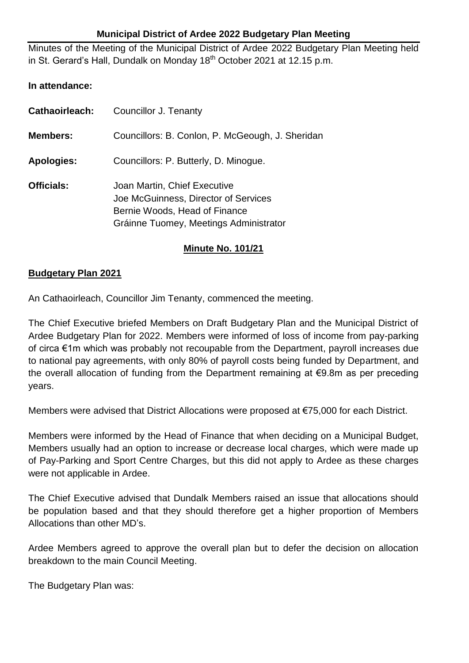## **Municipal District of Ardee 2022 Budgetary Plan Meeting**

Minutes of the Meeting of the Municipal District of Ardee 2022 Budgetary Plan Meeting held in St. Gerard's Hall, Dundalk on Monday 18<sup>th</sup> October 2021 at 12.15 p.m.

## **In attendance:**

| <b>Cathaoirleach:</b> | Councillor J. Tenanty                                                                                                                           |
|-----------------------|-------------------------------------------------------------------------------------------------------------------------------------------------|
| <b>Members:</b>       | Councillors: B. Conlon, P. McGeough, J. Sheridan                                                                                                |
| <b>Apologies:</b>     | Councillors: P. Butterly, D. Minogue.                                                                                                           |
| <b>Officials:</b>     | Joan Martin, Chief Executive<br>Joe McGuinness, Director of Services<br>Bernie Woods, Head of Finance<br>Gráinne Tuomey, Meetings Administrator |

## **Minute No. 101/21**

## **Budgetary Plan 2021**

An Cathaoirleach, Councillor Jim Tenanty, commenced the meeting.

The Chief Executive briefed Members on Draft Budgetary Plan and the Municipal District of Ardee Budgetary Plan for 2022. Members were informed of loss of income from pay-parking of circa €1m which was probably not recoupable from the Department, payroll increases due to national pay agreements, with only 80% of payroll costs being funded by Department, and the overall allocation of funding from the Department remaining at €9.8m as per preceding years.

Members were advised that District Allocations were proposed at €75,000 for each District.

Members were informed by the Head of Finance that when deciding on a Municipal Budget, Members usually had an option to increase or decrease local charges, which were made up of Pay-Parking and Sport Centre Charges, but this did not apply to Ardee as these charges were not applicable in Ardee.

The Chief Executive advised that Dundalk Members raised an issue that allocations should be population based and that they should therefore get a higher proportion of Members Allocations than other MD's.

Ardee Members agreed to approve the overall plan but to defer the decision on allocation breakdown to the main Council Meeting.

The Budgetary Plan was: